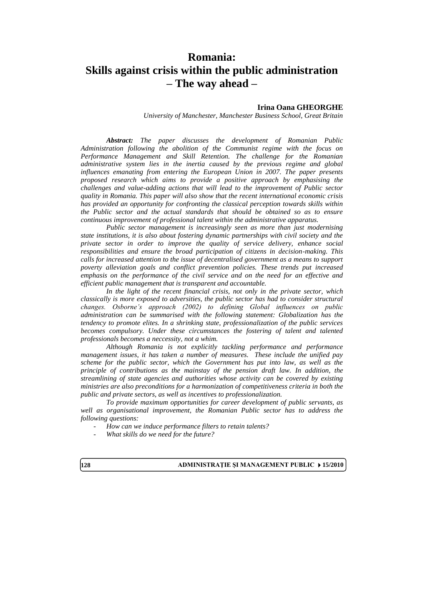# **Romania: Skills against crisis within the public administration – The way ahead –**

#### **Irina Oana GHEORGHE**

*University of Manchester, Manchester Business School, Great Britain*

*Abstract: The paper discusses the development of Romanian Public Administration following the abolition of the Communist regime with the focus on Performance Management and Skill Retention. The challenge for the Romanian administrative system lies in the inertia caused by the previous regime and global influences emanating from entering the European Union in 2007. The paper presents proposed research which aims to provide a positive approach by emphasising the challenges and value-adding actions that will lead to the improvement of Public sector quality in Romania. This paper will also show that the recent international economic crisis has provided an opportunity for confronting the classical perception towards skills within the Public sector and the actual standards that should be obtained so as to ensure continuous improvement of professional talent within the administrative apparatus.*

*Public sector management is increasingly seen as more than just modernising state institutions, it is also about fostering dynamic partnerships with civil society and the private sector in order to improve the quality of service delivery, enhance social responsibilities and ensure the broad participation of citizens in decision-making. This calls for increased attention to the issue of decentralised government as a means to support poverty alleviation goals and conflict prevention policies. These trends put increased emphasis on the performance of the civil service and on the need for an effective and efficient public management that is transparent and accountable.*

*In the light of the recent financial crisis, not only in the private sector, which classically is more exposed to adversities, the public sector has had to consider structural changes. Osborne's approach (2002) to defining Global influences on public administration can be summarised with the following statement: Globalization has the tendency to promote elites. In a shrinking state, professionalization of the public services becomes compulsory. Under these circumstances the fostering of talent and talented professionals becomes a neccessity, not a whim.*

*Although Romania is not explicitly tackling performance and performance management issues, it has taken a number of measures. These include the unified pay scheme for the public sector, which the Government has put into law, as well as the principle of contributions as the mainstay of the pension draft law. In addition, the streamlining of state agencies and authorities whose activity can be covered by existing ministries are also preconditions for a harmonization of competitiveness criteria in both the public and private sectors, as well as incentives to professionalization.*

*To provide maximum opportunities for career development of public servants, as well as organisational improvement, the Romanian Public sector has to address the following questions:*

- *How can we induce performance filters to retain talents?*
- *What skills do we need for the future?*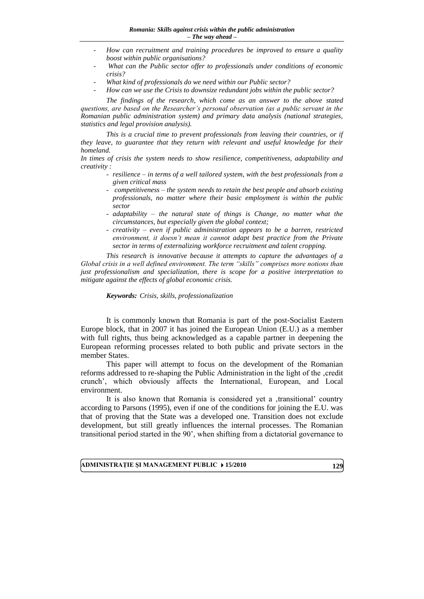- How can recruitment and training procedures be improved to ensure a quality *boost within public organisations?*
- What can the Public sector offer to professionals under conditions of economic *crisis?*
- *What kind of professionals do we need within our Public sector?*
- How can we use the Crisis to downsize redundant jobs within the public sector?

*The findings of the research, which come as an answer to the above stated questions, are based on the Researcher's personal observation (as a public servant in the Romanian public administration system) and primary data analysis (national strategies, statistics and legal provision analysis).*

*This is a crucial time to prevent professionals from leaving their countries, or if they leave, to guarantee that they return with relevant and useful knowledge for their homeland.*

*In times of crisis the system needs to show resilience, competitiveness, adaptability and creativity :*

- *resilience – in terms of a well tailored system, with the best professionals from a given critical mass*
- *competitiveness – the system needs to retain the best people and absorb existing professionals, no matter where their basic employment is within the public sector*
- *adaptability – the natural state of things is Change, no matter what the circumstances, but especially given the global context;*
- *creativity – even if public administration appears to be a barren, restricted environment, it doesn't mean it cannot adapt best practice from the Private sector in terms of externalizing workforce recruitment and talent cropping.*

*This research is innovative because it attempts to capture the advantages of a Global crisis in a well defined environment. The term "skills" comprises more notions than just professionalism and specialization, there is scope for a positive interpretation to mitigate against the effects of global economic crisis.*

#### *Keywords: Crisis, skills, professionalization*

It is commonly known that Romania is part of the post-Socialist Eastern Europe block, that in 2007 it has joined the European Union (E.U.) as a member with full rights, thus being acknowledged as a capable partner in deepening the European reforming processes related to both public and private sectors in the member States.

This paper will attempt to focus on the development of the Romanian reforms addressed to re-shaping the Public Administration in the light of the 'credit crunch", which obviously affects the International, European, and Local environment.

It is also known that Romania is considered yet a ,transitional' country according to Parsons (1995), even if one of the conditions for joining the E.U. was that of proving that the State was a developed one. Transition does not exclude development, but still greatly influences the internal processes. The Romanian transitional period started in the 90", when shifting from a dictatorial governance to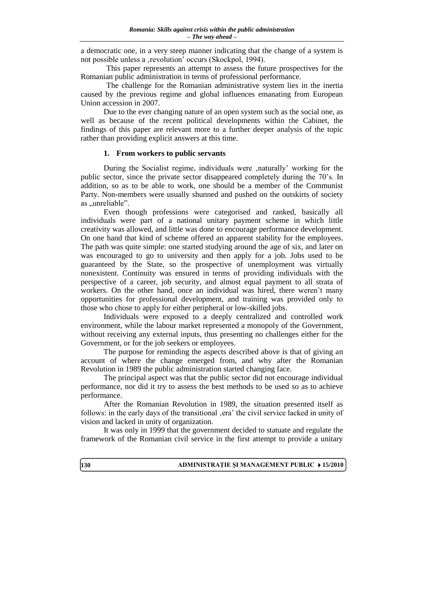a democratic one, in a very steep manner indicating that the change of a system is not possible unless a , revolution' occurs (Skockpol, 1994).

This paper represents an attempt to assess the future prospectives for the Romanian public administration in terms of professional performance.

The challenge for the Romanian administrative system lies in the inertia caused by the previous regime and global influences emanating from European Union accession in 2007.

Due to the ever changing nature of an open system such as the social one, as well as because of the recent political developments within the Cabinet, the findings of this paper are relevant more to a further deeper analysis of the topic rather than providing explicit answers at this time.

# **1. From workers to public servants**

During the Socialist regime, individuals were ,naturally' working for the public sector, since the private sector disappeared completely during the 70"s. In addition, so as to be able to work, one should be a member of the Communist Party. Non-members were usually shunned and pushed on the outskirts of society as "unreliable".

Even though professions were categorised and ranked, basically all individuals were part of a national unitary payment scheme in which little creativity was allowed, and little was done to encourage performance development. On one hand that kind of scheme offered an apparent stability for the employees. The path was quite simple: one started studying around the age of six, and later on was encouraged to go to university and then apply for a job. Jobs used to be guaranteed by the State, so the prospective of unemployment was virtually nonexistent. Continuity was ensured in terms of providing individuals with the perspective of a career, job security, and almost equal payment to all strata of workers. On the other hand, once an individual was hired, there weren't many opportunities for professional development, and training was provided only to those who chose to apply for either peripheral or low-skilled jobs.

Individuals were exposed to a deeply centralized and controlled work environment, while the labour market represented a monopoly of the Government, without receiving any external inputs, thus presenting no challenges either for the Government, or for the job seekers or employees.

The purpose for reminding the aspects described above is that of giving an account of where the change emerged from, and why after the Romanian Revolution in 1989 the public administration started changing face.

The principal aspect was that the public sector did not encourage individual performance, nor did it try to assess the best methods to be used so as to achieve performance.

After the Romanian Revolution in 1989, the situation presented itself as follows: in the early days of the transitional era" the civil service lacked in unity of vision and lacked in unity of organization.

It was only in 1999 that the government decided to statuate and regulate the framework of the Romanian civil service in the first attempt to provide a unitary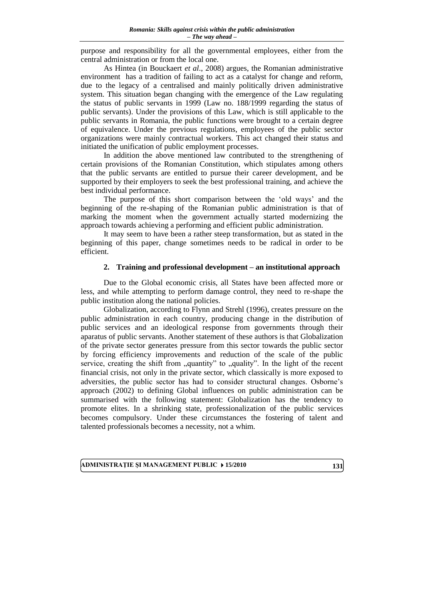purpose and responsibility for all the governmental employees, either from the central administration or from the local one.

As Hintea (in Bouckaert *et al*., 2008) argues, the Romanian administrative environment has a tradition of failing to act as a catalyst for change and reform, due to the legacy of a centralised and mainly politically driven administrative system. This situation began changing with the emergence of the Law regulating the status of public servants in 1999 (Law no. 188/1999 regarding the status of public servants). Under the provisions of this Law, which is still applicable to the public servants in Romania, the public functions were brought to a certain degree of equivalence. Under the previous regulations, employees of the public sector organizations were mainly contractual workers. This act changed their status and initiated the unification of public employment processes.

In addition the above mentioned law contributed to the strengthening of certain provisions of the Romanian Constitution, which stipulates among others that the public servants are entitled to pursue their career development, and be supported by their employers to seek the best professional training, and achieve the best individual performance.

The purpose of this short comparison between the "old ways" and the beginning of the re-shaping of the Romanian public administration is that of marking the moment when the government actually started modernizing the approach towards achieving a performing and efficient public administration.

It may seem to have been a rather steep transformation, but as stated in the beginning of this paper, change sometimes needs to be radical in order to be efficient.

# **2. Training and professional development – an institutional approach**

Due to the Global economic crisis, all States have been affected more or less, and while attempting to perform damage control, they need to re-shape the public institution along the national policies.

Globalization, according to Flynn and Strehl (1996), creates pressure on the public administration in each country, producing change in the distribution of public services and an ideological response from governments through their aparatus of public servants. Another statement of these authors is that Globalization of the private sector generates pressure from this sector towards the public sector by forcing efficiency improvements and reduction of the scale of the public service, creating the shift from "quantity" to "quality". In the light of the recent financial crisis, not only in the private sector, which classically is more exposed to adversities, the public sector has had to consider structural changes. Osborne"s approach (2002) to defining Global influences on public administration can be summarised with the following statement: Globalization has the tendency to promote elites. In a shrinking state, professionalization of the public services becomes compulsory. Under these circumstances the fostering of talent and talented professionals becomes a necessity, not a whim.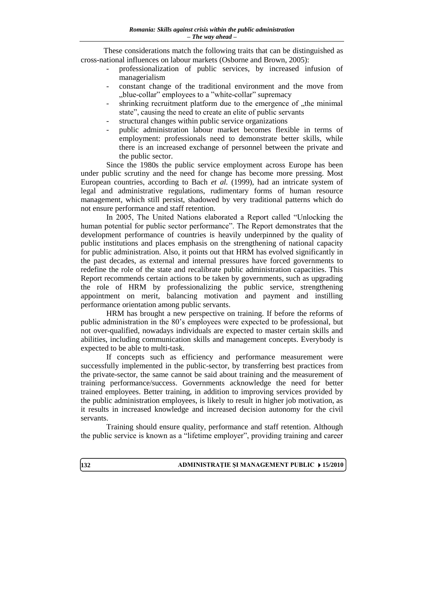These considerations match the following traits that can be distinguished as cross-national influences on labour markets (Osborne and Brown, 2005):

- professionalization of public services, by increased infusion of managerialism
- constant change of the traditional environment and the move from "blue-collar" employees to a "white-collar" supremacy
- shrinking recruitment platform due to the emergence of  $\mu$ the minimal state", causing the need to create an elite of public servants
- structural changes within public service organizations
- public administration labour market becomes flexible in terms of employment: professionals need to demonstrate better skills, while there is an increased exchange of personnel between the private and the public sector.

Since the 1980s the public service employment across Europe has been under public scrutiny and the need for change has become more pressing. Most European countries, according to Bach *et al.* (1999), had an intricate system of legal and administrative regulations, rudimentary forms of human resource management, which still persist, shadowed by very traditional patterns which do not ensure performance and staff retention.

In 2005, The United Nations elaborated a Report called "Unlocking the human potential for public sector performance". The Report demonstrates that the development performance of countries is heavily underpinned by the quality of public institutions and places emphasis on the strengthening of national capacity for public administration. Also, it points out that HRM has evolved significantly in the past decades, as external and internal pressures have forced governments to redefine the role of the state and recalibrate public administration capacities. This Report recommends certain actions to be taken by governments, such as upgrading the role of HRM by professionalizing the public service, strengthening appointment on merit, balancing motivation and payment and instilling performance orientation among public servants.

HRM has brought a new perspective on training. If before the reforms of public administration in the 80"s employees were expected to be professional, but not over-qualified, nowadays individuals are expected to master certain skills and abilities, including communication skills and management concepts. Everybody is expected to be able to multi-task.

If concepts such as efficiency and performance measurement were successfully implemented in the public-sector, by transferring best practices from the private-sector, the same cannot be said about training and the measurement of training performance/success. Governments acknowledge the need for better trained employees. Better training, in addition to improving services provided by the public administration employees, is likely to result in higher job motivation, as it results in increased knowledge and increased decision autonomy for the civil servants.

Training should ensure quality, performance and staff retention. Although the public service is known as a "lifetime employer", providing training and career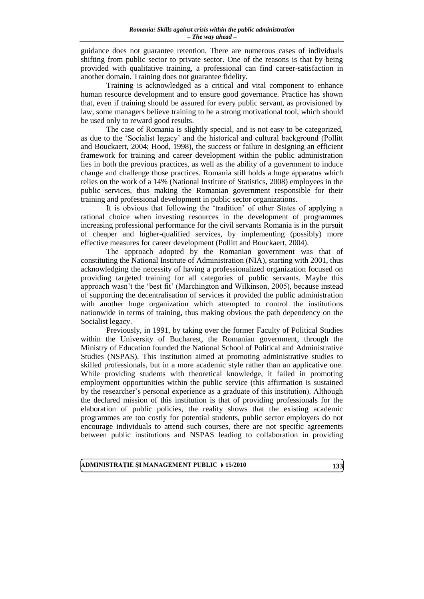guidance does not guarantee retention. There are numerous cases of individuals shifting from public sector to private sector. One of the reasons is that by being provided with qualitative training, a professional can find career-satisfaction in another domain. Training does not guarantee fidelity.

Training is acknowledged as a critical and vital component to enhance human resource development and to ensure good governance. Practice has shown that, even if training should be assured for every public servant, as provisioned by law, some managers believe training to be a strong motivational tool, which should be used only to reward good results.

The case of Romania is slightly special, and is not easy to be categorized, as due to the "Socialist legacy" and the historical and cultural background (Pollitt and Bouckaert, 2004; Hood, 1998), the success or failure in designing an efficient framework for training and career development within the public administration lies in both the previous practices, as well as the ability of a government to induce change and challenge those practices. Romania still holds a huge apparatus which relies on the work of a 14% (National Institute of Statistics, 2008) employees in the public services, thus making the Romanian government responsible for their training and professional development in public sector organizations.

It is obvious that following the "tradition" of other States of applying a rational choice when investing resources in the development of programmes increasing professional performance for the civil servants Romania is in the pursuit of cheaper and higher-qualified services, by implementing (possibly) more effective measures for career development (Pollitt and Bouckaert, 2004).

The approach adopted by the Romanian government was that of constituting the National Institute of Administration (NIA), starting with 2001, thus acknowledging the necessity of having a professionalized organization focused on providing targeted training for all categories of public servants. Maybe this approach wasn"t the "best fit" (Marchington and Wilkinson, 2005), because instead of supporting the decentralisation of services it provided the public administration with another huge organization which attempted to control the institutions nationwide in terms of training, thus making obvious the path dependency on the Socialist legacy.

Previously, in 1991, by taking over the former Faculty of Political Studies within the University of Bucharest, the Romanian government, through the Ministry of Education founded the National School of Political and Administrative Studies (NSPAS). This institution aimed at promoting administrative studies to skilled professionals, but in a more academic style rather than an applicative one. While providing students with theoretical knowledge, it failed in promoting employment opportunities within the public service (this affirmation is sustained by the researcher"s personal experience as a graduate of this institution). Although the declared mission of this institution is that of providing professionals for the elaboration of public policies, the reality shows that the existing academic programmes are too costly for potential students, public sector employers do not encourage individuals to attend such courses, there are not specific agreements between public institutions and NSPAS leading to collaboration in providing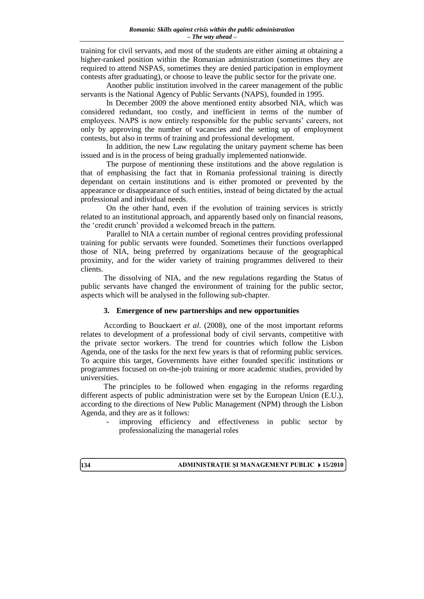training for civil servants, and most of the students are either aiming at obtaining a higher-ranked position within the Romanian administration (sometimes they are required to attend NSPAS, sometimes they are denied participation in employment contests after graduating), or choose to leave the public sector for the private one.

Another public institution involved in the career management of the public servants is the National Agency of Public Servants (NAPS), founded in 1995.

In December 2009 the above mentioned entity absorbed NIA, which was considered redundant, too costly, and inefficient in terms of the number of employees. NAPS is now entirely responsible for the public servants' careers, not only by approving the number of vacancies and the setting up of employment contests, but also in terms of training and professional development.

In addition, the new Law regulating the unitary payment scheme has been issued and is in the process of being gradually implemented nationwide.

The purpose of mentioning these institutions and the above regulation is that of emphasising the fact that in Romania professional training is directly dependant on certain institutions and is either promoted or prevented by the appearance or disappearance of such entities, instead of being dictated by the actual professional and individual needs.

On the other hand, even if the evolution of training services is strictly related to an institutional approach, and apparently based only on financial reasons, the "credit crunch" provided a welcomed breach in the pattern.

Parallel to NIA a certain number of regional centres providing professional training for public servants were founded. Sometimes their functions overlapped those of NIA, being preferred by organizations because of the geographical proximity, and for the wider variety of training programmes delivered to their clients.

The dissolving of NIA, and the new regulations regarding the Status of public servants have changed the environment of training for the public sector, aspects which will be analysed in the following sub-chapter.

### **3. Emergence of new partnerships and new opportunities**

According to Bouckaert *et al*. (2008), one of the most important reforms relates to development of a professional body of civil servants, competitive with the private sector workers. The trend for countries which follow the Lisbon Agenda, one of the tasks for the next few years is that of reforming public services. To acquire this target, Governments have either founded specific institutions or programmes focused on on-the-job training or more academic studies, provided by universities.

The principles to be followed when engaging in the reforms regarding different aspects of public administration were set by the European Union (E.U.), according to the directions of New Public Management (NPM) through the Lisbon Agenda, and they are as it follows:

improving efficiency and effectiveness in public sector by professionalizing the managerial roles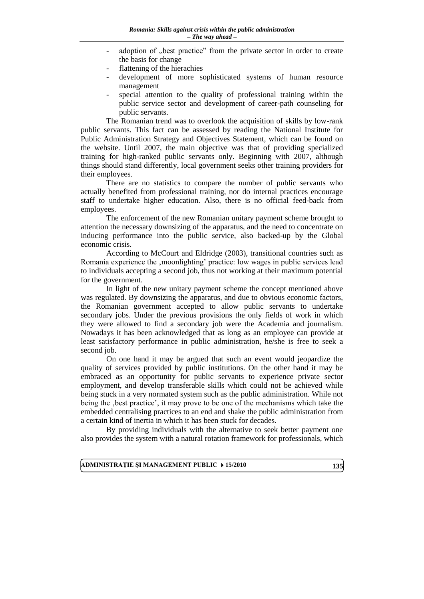- adoption of "best practice" from the private sector in order to create the basis for change
- flattening of the hierachies
- development of more sophisticated systems of human resource management
- special attention to the quality of professional training within the public service sector and development of career-path counseling for public servants.

The Romanian trend was to overlook the acquisition of skills by low-rank public servants. This fact can be assessed by reading the National Institute for Public Administration Strategy and Objectives Statement, which can be found on the website. Until 2007, the main objective was that of providing specialized training for high-ranked public servants only. Beginning with 2007, although things should stand differently, local government seeks other training providers for their employees.

There are no statistics to compare the number of public servants who actually benefited from professional training, nor do internal practices encourage staff to undertake higher education. Also, there is no official feed-back from employees.

The enforcement of the new Romanian unitary payment scheme brought to attention the necessary downsizing of the apparatus, and the need to concentrate on inducing performance into the public service, also backed-up by the Global economic crisis.

According to McCourt and Eldridge (2003), transitional countries such as Romania experience the , moonlighting' practice: low wages in public services lead to individuals accepting a second job, thus not working at their maximum potential for the government.

In light of the new unitary payment scheme the concept mentioned above was regulated. By downsizing the apparatus, and due to obvious economic factors, the Romanian government accepted to allow public servants to undertake secondary jobs. Under the previous provisions the only fields of work in which they were allowed to find a secondary job were the Academia and journalism. Nowadays it has been acknowledged that as long as an employee can provide at least satisfactory performance in public administration, he/she is free to seek a second job.

On one hand it may be argued that such an event would jeopardize the quality of services provided by public institutions. On the other hand it may be embraced as an opportunity for public servants to experience private sector employment, and develop transferable skills which could not be achieved while being stuck in a very normated system such as the public administration. While not being the , best practice', it may prove to be one of the mechanisms which take the embedded centralising practices to an end and shake the public administration from a certain kind of inertia in which it has been stuck for decades.

By providing individuals with the alternative to seek better payment one also provides the system with a natural rotation framework for professionals, which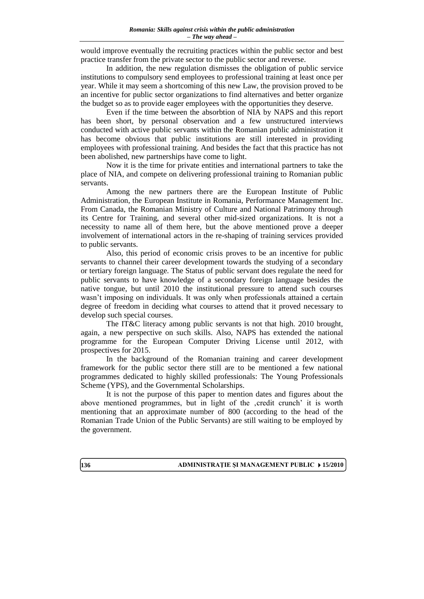would improve eventually the recruiting practices within the public sector and best practice transfer from the private sector to the public sector and reverse.

In addition, the new regulation dismisses the obligation of public service institutions to compulsory send employees to professional training at least once per year. While it may seem a shortcoming of this new Law, the provision proved to be an incentive for public sector organizations to find alternatives and better organize the budget so as to provide eager employees with the opportunities they deserve.

Even if the time between the absorbtion of NIA by NAPS and this report has been short, by personal observation and a few unstructured interviews conducted with active public servants within the Romanian public administration it has become obvious that public institutions are still interested in providing employees with professional training. And besides the fact that this practice has not been abolished, new partnerships have come to light.

Now it is the time for private entities and international partners to take the place of NIA, and compete on delivering professional training to Romanian public servants.

Among the new partners there are the European Institute of Public Administration, the European Institute in Romania, Performance Management Inc. From Canada, the Romanian Ministry of Culture and National Patrimony through its Centre for Training, and several other mid-sized organizations. It is not a necessity to name all of them here, but the above mentioned prove a deeper involvement of international actors in the re-shaping of training services provided to public servants.

Also, this period of economic crisis proves to be an incentive for public servants to channel their career development towards the studying of a secondary or tertiary foreign language. The Status of public servant does regulate the need for public servants to have knowledge of a secondary foreign language besides the native tongue, but until 2010 the institutional pressure to attend such courses wasn't imposing on individuals. It was only when professionals attained a certain degree of freedom in deciding what courses to attend that it proved necessary to develop such special courses.

The IT&C literacy among public servants is not that high. 2010 brought, again, a new perspective on such skills. Also, NAPS has extended the national programme for the European Computer Driving License until 2012, with prospectives for 2015.

In the background of the Romanian training and career development framework for the public sector there still are to be mentioned a few national programmes dedicated to highly skilled professionals: The Young Professionals Scheme (YPS), and the Governmental Scholarships.

It is not the purpose of this paper to mention dates and figures about the above mentioned programmes, but in light of the , credit crunch' it is worth mentioning that an approximate number of 800 (according to the head of the Romanian Trade Union of the Public Servants) are still waiting to be employed by the government.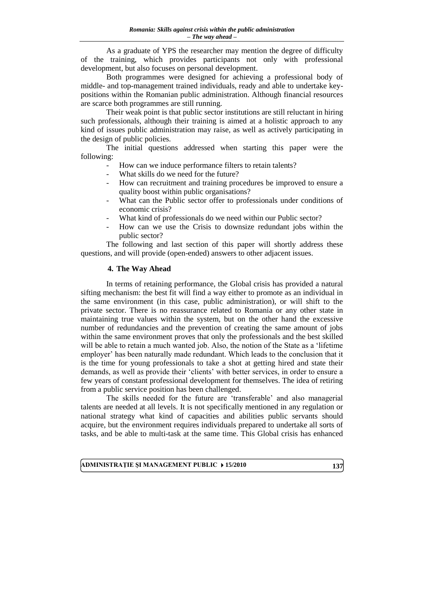As a graduate of YPS the researcher may mention the degree of difficulty of the training, which provides participants not only with professional development, but also focuses on personal development.

Both programmes were designed for achieving a professional body of middle- and top-management trained individuals, ready and able to undertake keypositions within the Romanian public administration. Although financial resources are scarce both programmes are still running.

Their weak point is that public sector institutions are still reluctant in hiring such professionals, although their training is aimed at a holistic approach to any kind of issues public administration may raise, as well as actively participating in the design of public policies.

The initial questions addressed when starting this paper were the following:

- How can we induce performance filters to retain talents?
- What skills do we need for the future?
- How can recruitment and training procedures be improved to ensure a quality boost within public organisations?
- What can the Public sector offer to professionals under conditions of economic crisis?
- What kind of professionals do we need within our Public sector?
- How can we use the Crisis to downsize redundant jobs within the public sector?

The following and last section of this paper will shortly address these questions, and will provide (open-ended) answers to other adjacent issues.

# **4. The Way Ahead**

In terms of retaining performance, the Global crisis has provided a natural sifting mechanism: the best fit will find a way either to promote as an individual in the same environment (in this case, public administration), or will shift to the private sector. There is no reassurance related to Romania or any other state in maintaining true values within the system, but on the other hand the excessive number of redundancies and the prevention of creating the same amount of jobs within the same environment proves that only the professionals and the best skilled will be able to retain a much wanted job. Also, the notion of the State as a "lifetime employer' has been naturally made redundant. Which leads to the conclusion that it is the time for young professionals to take a shot at getting hired and state their demands, as well as provide their "clients" with better services, in order to ensure a few years of constant professional development for themselves. The idea of retiring from a public service position has been challenged.

The skills needed for the future are "transferable" and also managerial talents are needed at all levels. It is not specifically mentioned in any regulation or national strategy what kind of capacities and abilities public servants should acquire, but the environment requires individuals prepared to undertake all sorts of tasks, and be able to multi-task at the same time. This Global crisis has enhanced